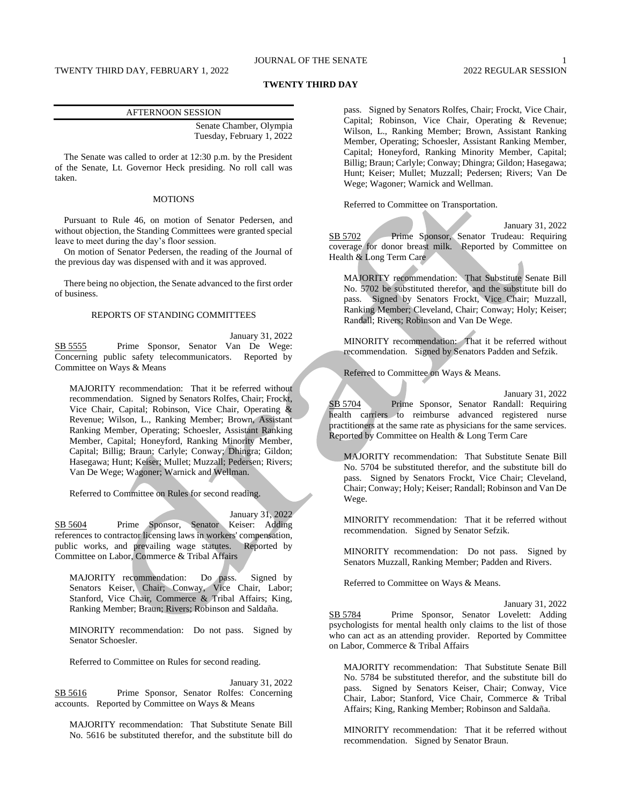# JOURNAL OF THE SENATE 1

#### **TWENTY THIRD DAY**

| <b>AFTERNOON SESSION</b> |                           |
|--------------------------|---------------------------|
|                          | Senate Chamber, Olympia   |
|                          | Tuesday, February 1, 2022 |

The Senate was called to order at 12:30 p.m. by the President of the Senate, Lt. Governor Heck presiding. No roll call was taken.

## MOTIONS

Pursuant to Rule 46, on motion of Senator Pedersen, and without objection, the Standing Committees were granted special leave to meet during the day's floor session.

On motion of Senator Pedersen, the reading of the Journal of the previous day was dispensed with and it was approved.

There being no objection, the Senate advanced to the first order of business.

#### REPORTS OF STANDING COMMITTEES

January 31, 2022 SB 5555 Prime Sponsor, Senator Van De Wege: Concerning public safety telecommunicators. Reported by Committee on Ways & Means

MAJORITY recommendation: That it be referred without recommendation. Signed by Senators Rolfes, Chair; Frockt, Vice Chair, Capital; Robinson, Vice Chair, Operating & Revenue; Wilson, L., Ranking Member; Brown, Assistant Ranking Member, Operating; Schoesler, Assistant Ranking Member, Capital; Honeyford, Ranking Minority Member, Capital; Billig; Braun; Carlyle; Conway; Dhingra; Gildon; Hasegawa; Hunt; Keiser; Mullet; Muzzall; Pedersen; Rivers; Van De Wege; Wagoner; Warnick and Wellman.

Referred to Committee on Rules for second reading.

## January 31, 2022

SB 5604 Prime Sponsor, Senator Keiser: Adding references to contractor licensing laws in workers' compensation, public works, and prevailing wage statutes. Reported by Committee on Labor, Commerce & Tribal Affairs

MAJORITY recommendation: Do pass. Signed by Senators Keiser, Chair; Conway, Vice Chair, Labor; Stanford, Vice Chair, Commerce & Tribal Affairs; King, Ranking Member; Braun; Rivers; Robinson and Saldaña.

MINORITY recommendation: Do not pass. Signed by Senator Schoesler.

Referred to Committee on Rules for second reading.

January 31, 2022 SB 5616 Prime Sponsor, Senator Rolfes: Concerning accounts. Reported by Committee on Ways & Means

MAJORITY recommendation: That Substitute Senate Bill No. 5616 be substituted therefor, and the substitute bill do

pass. Signed by Senators Rolfes, Chair; Frockt, Vice Chair, Capital; Robinson, Vice Chair, Operating & Revenue; Wilson, L., Ranking Member; Brown, Assistant Ranking Member, Operating; Schoesler, Assistant Ranking Member, Capital; Honeyford, Ranking Minority Member, Capital; Billig; Braun; Carlyle; Conway; Dhingra; Gildon; Hasegawa; Hunt; Keiser; Mullet; Muzzall; Pedersen; Rivers; Van De Wege; Wagoner; Warnick and Wellman.

Referred to Committee on Transportation.

January 31, 2022 SB 5702 Prime Sponsor, Senator Trudeau: Requiring coverage for donor breast milk. Reported by Committee on Health & Long Term Care

MAJORITY recommendation: That Substitute Senate Bill No. 5702 be substituted therefor, and the substitute bill do pass. Signed by Senators Frockt, Vice Chair; Muzzall, Ranking Member; Cleveland, Chair; Conway; Holy; Keiser; Randall; Rivers; Robinson and Van De Wege.

MINORITY recommendation: That it be referred without recommendation. Signed by Senators Padden and Sefzik.

Referred to Committee on Ways & Means.

January 31, 2022

SB 5704 Prime Sponsor, Senator Randall: Requiring health carriers to reimburse advanced registered nurse practitioners at the same rate as physicians for the same services. Reported by Committee on Health & Long Term Care

MAJORITY recommendation: That Substitute Senate Bill No. 5704 be substituted therefor, and the substitute bill do pass. Signed by Senators Frockt, Vice Chair; Cleveland, Chair; Conway; Holy; Keiser; Randall; Robinson and Van De Wege.

MINORITY recommendation: That it be referred without recommendation. Signed by Senator Sefzik.

MINORITY recommendation: Do not pass. Signed by Senators Muzzall, Ranking Member; Padden and Rivers.

Referred to Committee on Ways & Means.

January 31, 2022

SB 5784 Prime Sponsor, Senator Lovelett: Adding psychologists for mental health only claims to the list of those who can act as an attending provider. Reported by Committee on Labor, Commerce & Tribal Affairs

MAJORITY recommendation: That Substitute Senate Bill No. 5784 be substituted therefor, and the substitute bill do pass. Signed by Senators Keiser, Chair; Conway, Vice Chair, Labor; Stanford, Vice Chair, Commerce & Tribal Affairs; King, Ranking Member; Robinson and Saldaña.

MINORITY recommendation: That it be referred without recommendation. Signed by Senator Braun.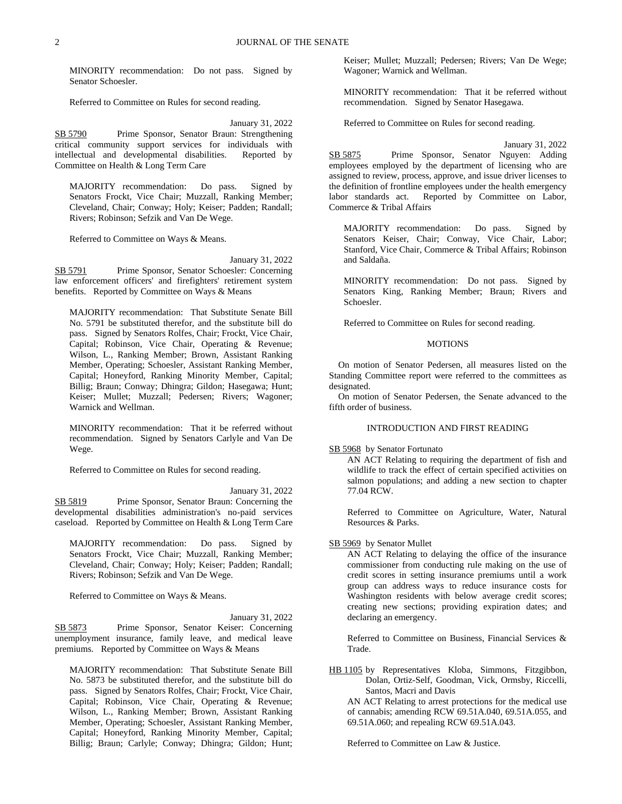MINORITY recommendation: Do not pass. Signed by Senator Schoesler.

Referred to Committee on Rules for second reading.

January 31, 2022

SB 5790 Prime Sponsor, Senator Braun: Strengthening critical community support services for individuals with intellectual and developmental disabilities. Reported by Committee on Health & Long Term Care

MAJORITY recommendation: Do pass. Signed by Senators Frockt, Vice Chair; Muzzall, Ranking Member; Cleveland, Chair; Conway; Holy; Keiser; Padden; Randall; Rivers; Robinson; Sefzik and Van De Wege.

Referred to Committee on Ways & Means.

January 31, 2022 SB 5791 Prime Sponsor, Senator Schoesler: Concerning law enforcement officers' and firefighters' retirement system benefits. Reported by Committee on Ways & Means

MAJORITY recommendation: That Substitute Senate Bill No. 5791 be substituted therefor, and the substitute bill do pass. Signed by Senators Rolfes, Chair; Frockt, Vice Chair, Capital; Robinson, Vice Chair, Operating & Revenue; Wilson, L., Ranking Member; Brown, Assistant Ranking Member, Operating; Schoesler, Assistant Ranking Member, Capital; Honeyford, Ranking Minority Member, Capital; Billig; Braun; Conway; Dhingra; Gildon; Hasegawa; Hunt; Keiser; Mullet; Muzzall; Pedersen; Rivers; Wagoner; Warnick and Wellman.

MINORITY recommendation: That it be referred without recommendation. Signed by Senators Carlyle and Van De Wege.

Referred to Committee on Rules for second reading.

January 31, 2022 SB 5819 Prime Sponsor, Senator Braun: Concerning the developmental disabilities administration's no-paid services caseload. Reported by Committee on Health & Long Term Care

MAJORITY recommendation: Do pass. Signed by Senators Frockt, Vice Chair; Muzzall, Ranking Member; Cleveland, Chair; Conway; Holy; Keiser; Padden; Randall; Rivers; Robinson; Sefzik and Van De Wege.

Referred to Committee on Ways & Means.

January 31, 2022

SB 5873 Prime Sponsor, Senator Keiser: Concerning unemployment insurance, family leave, and medical leave premiums. Reported by Committee on Ways & Means

MAJORITY recommendation: That Substitute Senate Bill No. 5873 be substituted therefor, and the substitute bill do pass. Signed by Senators Rolfes, Chair; Frockt, Vice Chair, Capital; Robinson, Vice Chair, Operating & Revenue; Wilson, L., Ranking Member; Brown, Assistant Ranking Member, Operating; Schoesler, Assistant Ranking Member, Capital; Honeyford, Ranking Minority Member, Capital; Billig; Braun; Carlyle; Conway; Dhingra; Gildon; Hunt;

Keiser; Mullet; Muzzall; Pedersen; Rivers; Van De Wege; Wagoner; Warnick and Wellman.

MINORITY recommendation: That it be referred without recommendation. Signed by Senator Hasegawa.

Referred to Committee on Rules for second reading.

January 31, 2022 SB 5875 Prime Sponsor, Senator Nguyen: Adding employees employed by the department of licensing who are assigned to review, process, approve, and issue driver licenses to the definition of frontline employees under the health emergency labor standards act. Reported by Committee on Labor, Commerce & Tribal Affairs

MAJORITY recommendation: Do pass. Signed by Senators Keiser, Chair; Conway, Vice Chair, Labor; Stanford, Vice Chair, Commerce & Tribal Affairs; Robinson and Saldaña.

MINORITY recommendation: Do not pass. Signed by Senators King, Ranking Member; Braun; Rivers and Schoesler.

Referred to Committee on Rules for second reading.

## **MOTIONS**

On motion of Senator Pedersen, all measures listed on the Standing Committee report were referred to the committees as designated.

On motion of Senator Pedersen, the Senate advanced to the fifth order of business.

## INTRODUCTION AND FIRST READING

SB 5968 by Senator Fortunato

AN ACT Relating to requiring the department of fish and wildlife to track the effect of certain specified activities on salmon populations; and adding a new section to chapter 77.04 RCW.

Referred to Committee on Agriculture, Water, Natural Resources & Parks.

#### SB 5969 by Senator Mullet

AN ACT Relating to delaying the office of the insurance commissioner from conducting rule making on the use of credit scores in setting insurance premiums until a work group can address ways to reduce insurance costs for Washington residents with below average credit scores; creating new sections; providing expiration dates; and declaring an emergency.

Referred to Committee on Business, Financial Services & Trade.

HB 1105 by Representatives Kloba, Simmons, Fitzgibbon, Dolan, Ortiz-Self, Goodman, Vick, Ormsby, Riccelli, Santos, Macri and Davis

AN ACT Relating to arrest protections for the medical use of cannabis; amending RCW 69.51A.040, 69.51A.055, and 69.51A.060; and repealing RCW 69.51A.043.

Referred to Committee on Law & Justice.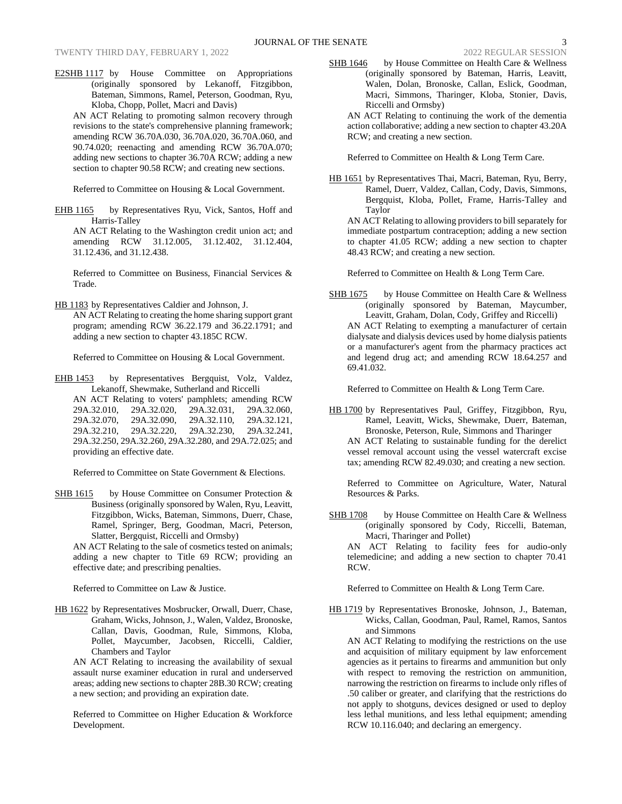E2SHB 1117 by House Committee on Appropriations (originally sponsored by Lekanoff, Fitzgibbon, Bateman, Simmons, Ramel, Peterson, Goodman, Ryu, Kloba, Chopp, Pollet, Macri and Davis)

AN ACT Relating to promoting salmon recovery through revisions to the state's comprehensive planning framework; amending RCW 36.70A.030, 36.70A.020, 36.70A.060, and 90.74.020; reenacting and amending RCW 36.70A.070; adding new sections to chapter 36.70A RCW; adding a new section to chapter 90.58 RCW; and creating new sections.

Referred to Committee on Housing & Local Government.

EHB 1165 by Representatives Ryu, Vick, Santos, Hoff and Harris-Talley

AN ACT Relating to the Washington credit union act; and amending RCW 31.12.005, 31.12.402, 31.12.404, 31.12.436, and 31.12.438.

Referred to Committee on Business, Financial Services & Trade.

HB 1183 by Representatives Caldier and Johnson, J.

AN ACT Relating to creating the home sharing support grant program; amending RCW 36.22.179 and 36.22.1791; and adding a new section to chapter 43.185C RCW.

Referred to Committee on Housing & Local Government.

EHB 1453 by Representatives Bergquist, Volz, Valdez, Lekanoff, Shewmake, Sutherland and Riccelli AN ACT Relating to voters' pamphlets; amending RCW 29A.32.010, 29A.32.020, 29A.32.031, 29A.32.060, 29A.32.070, 29A.32.090, 29A.32.110, 29A.32.121, 29A.32.210, 29A.32.220, 29A.32.230, 29A.32.241, 29A.32.250, 29A.32.260, 29A.32.280, and 29A.72.025; and providing an effective date.

Referred to Committee on State Government & Elections.

SHB 1615 by House Committee on Consumer Protection  $\&$ Business (originally sponsored by Walen, Ryu, Leavitt, Fitzgibbon, Wicks, Bateman, Simmons, Duerr, Chase, Ramel, Springer, Berg, Goodman, Macri, Peterson, Slatter, Bergquist, Riccelli and Ormsby)

AN ACT Relating to the sale of cosmetics tested on animals; adding a new chapter to Title 69 RCW; providing an effective date; and prescribing penalties.

Referred to Committee on Law & Justice.

HB 1622 by Representatives Mosbrucker, Orwall, Duerr, Chase, Graham, Wicks, Johnson, J., Walen, Valdez, Bronoske, Callan, Davis, Goodman, Rule, Simmons, Kloba, Pollet, Maycumber, Jacobsen, Riccelli, Caldier, Chambers and Taylor

AN ACT Relating to increasing the availability of sexual assault nurse examiner education in rural and underserved areas; adding new sections to chapter 28B.30 RCW; creating a new section; and providing an expiration date.

Referred to Committee on Higher Education & Workforce Development.

AN ACT Relating to continuing the work of the dementia action collaborative; adding a new section to chapter 43.20A RCW; and creating a new section.

Referred to Committee on Health & Long Term Care.

Riccelli and Ormsby)

HB 1651 by Representatives Thai, Macri, Bateman, Ryu, Berry, Ramel, Duerr, Valdez, Callan, Cody, Davis, Simmons, Bergquist, Kloba, Pollet, Frame, Harris-Talley and Taylor

AN ACT Relating to allowing providers to bill separately for immediate postpartum contraception; adding a new section to chapter 41.05 RCW; adding a new section to chapter 48.43 RCW; and creating a new section.

Referred to Committee on Health & Long Term Care.

SHB 1675 by House Committee on Health Care & Wellness (originally sponsored by Bateman, Maycumber, Leavitt, Graham, Dolan, Cody, Griffey and Riccelli) AN ACT Relating to exempting a manufacturer of certain dialysate and dialysis devices used by home dialysis patients or a manufacturer's agent from the pharmacy practices act and legend drug act; and amending RCW 18.64.257 and 69.41.032.

Referred to Committee on Health & Long Term Care.

HB 1700 by Representatives Paul, Griffey, Fitzgibbon, Ryu, Ramel, Leavitt, Wicks, Shewmake, Duerr, Bateman, Bronoske, Peterson, Rule, Simmons and Tharinger AN ACT Relating to sustainable funding for the derelict vessel removal account using the vessel watercraft excise tax; amending RCW 82.49.030; and creating a new section.

Referred to Committee on Agriculture, Water, Natural Resources & Parks.

SHB 1708 by House Committee on Health Care & Wellness (originally sponsored by Cody, Riccelli, Bateman, Macri, Tharinger and Pollet)

AN ACT Relating to facility fees for audio-only telemedicine; and adding a new section to chapter 70.41 RCW.

Referred to Committee on Health & Long Term Care.

HB 1719 by Representatives Bronoske, Johnson, J., Bateman, Wicks, Callan, Goodman, Paul, Ramel, Ramos, Santos and Simmons

AN ACT Relating to modifying the restrictions on the use and acquisition of military equipment by law enforcement agencies as it pertains to firearms and ammunition but only with respect to removing the restriction on ammunition, narrowing the restriction on firearms to include only rifles of .50 caliber or greater, and clarifying that the restrictions do not apply to shotguns, devices designed or used to deploy less lethal munitions, and less lethal equipment; amending RCW 10.116.040; and declaring an emergency.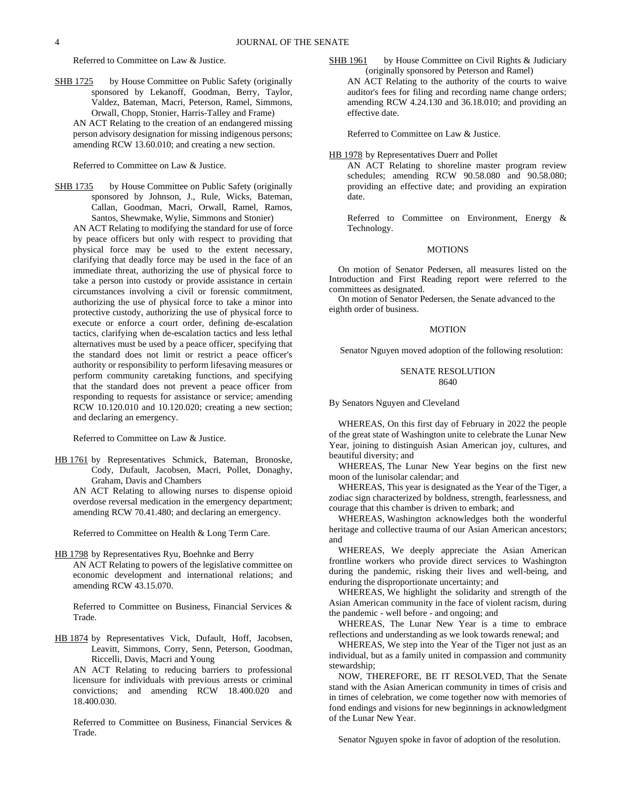Referred to Committee on Law & Justice.

SHB 1725 by House Committee on Public Safety (originally sponsored by Lekanoff, Goodman, Berry, Taylor, Valdez, Bateman, Macri, Peterson, Ramel, Simmons, Orwall, Chopp, Stonier, Harris-Talley and Frame) AN ACT Relating to the creation of an endangered missing person advisory designation for missing indigenous persons; amending RCW 13.60.010; and creating a new section.

Referred to Committee on Law & Justice.

SHB 1735 by House Committee on Public Safety (originally sponsored by Johnson, J., Rule, Wicks, Bateman, Callan, Goodman, Macri, Orwall, Ramel, Ramos, Santos, Shewmake, Wylie, Simmons and Stonier)

AN ACT Relating to modifying the standard for use of force by peace officers but only with respect to providing that physical force may be used to the extent necessary, clarifying that deadly force may be used in the face of an immediate threat, authorizing the use of physical force to take a person into custody or provide assistance in certain circumstances involving a civil or forensic commitment, authorizing the use of physical force to take a minor into protective custody, authorizing the use of physical force to execute or enforce a court order, defining de-escalation tactics, clarifying when de-escalation tactics and less lethal alternatives must be used by a peace officer, specifying that the standard does not limit or restrict a peace officer's authority or responsibility to perform lifesaving measures or perform community caretaking functions, and specifying that the standard does not prevent a peace officer from responding to requests for assistance or service; amending RCW 10.120.010 and 10.120.020; creating a new section; and declaring an emergency.

Referred to Committee on Law & Justice.

HB 1761 by Representatives Schmick, Bateman, Bronoske, Cody, Dufault, Jacobsen, Macri, Pollet, Donaghy, Graham, Davis and Chambers

AN ACT Relating to allowing nurses to dispense opioid overdose reversal medication in the emergency department; amending RCW 70.41.480; and declaring an emergency.

Referred to Committee on Health & Long Term Care.

HB 1798 by Representatives Ryu, Boehnke and Berry

AN ACT Relating to powers of the legislative committee on economic development and international relations; and amending RCW 43.15.070.

Referred to Committee on Business, Financial Services & Trade.

HB 1874 by Representatives Vick, Dufault, Hoff, Jacobsen, Leavitt, Simmons, Corry, Senn, Peterson, Goodman, Riccelli, Davis, Macri and Young

AN ACT Relating to reducing barriers to professional licensure for individuals with previous arrests or criminal convictions; and amending RCW 18.400.020 and 18.400.030.

Referred to Committee on Business, Financial Services & Trade.

SHB 1961 by House Committee on Civil Rights & Judiciary (originally sponsored by Peterson and Ramel) AN ACT Relating to the authority of the courts to waive auditor's fees for filing and recording name change orders; amending RCW 4.24.130 and 36.18.010; and providing an effective date.

Referred to Committee on Law & Justice.

#### HB 1978 by Representatives Duerr and Pollet

AN ACT Relating to shoreline master program review schedules; amending RCW 90.58.080 and 90.58.080; providing an effective date; and providing an expiration date.

Referred to Committee on Environment, Energy & Technology.

## MOTIONS

On motion of Senator Pedersen, all measures listed on the Introduction and First Reading report were referred to the committees as designated.

On motion of Senator Pedersen, the Senate advanced to the eighth order of business.

## MOTION

Senator Nguyen moved adoption of the following resolution:

## SENATE RESOLUTION 8640

By Senators Nguyen and Cleveland

WHEREAS, On this first day of February in 2022 the people of the great state of Washington unite to celebrate the Lunar New Year, joining to distinguish Asian American joy, cultures, and beautiful diversity; and

WHEREAS, The Lunar New Year begins on the first new moon of the lunisolar calendar; and

WHEREAS, This year is designated as the Year of the Tiger, a zodiac sign characterized by boldness, strength, fearlessness, and courage that this chamber is driven to embark; and

WHEREAS, Washington acknowledges both the wonderful heritage and collective trauma of our Asian American ancestors; and

WHEREAS, We deeply appreciate the Asian American frontline workers who provide direct services to Washington during the pandemic, risking their lives and well-being, and enduring the disproportionate uncertainty; and

WHEREAS, We highlight the solidarity and strength of the Asian American community in the face of violent racism, during the pandemic - well before - and ongoing; and

WHEREAS, The Lunar New Year is a time to embrace reflections and understanding as we look towards renewal; and

WHEREAS, We step into the Year of the Tiger not just as an individual, but as a family united in compassion and community stewardship;

NOW, THEREFORE, BE IT RESOLVED, That the Senate stand with the Asian American community in times of crisis and in times of celebration, we come together now with memories of fond endings and visions for new beginnings in acknowledgment of the Lunar New Year.

Senator Nguyen spoke in favor of adoption of the resolution.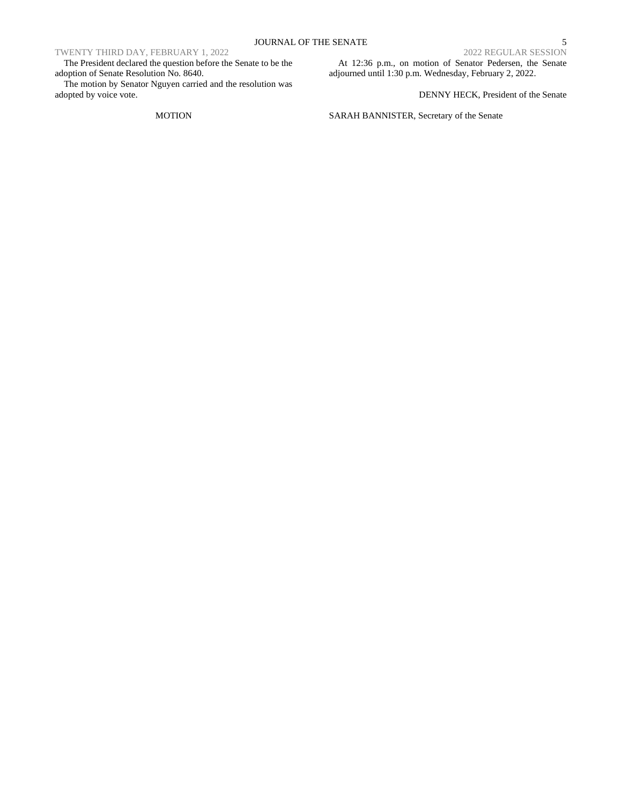# TWENTY THIRD DAY, FEBRUARY 1, 2022

The President declared the question before the Senate to be the adoption of Senate Resolution No. 8640.

The motion by Senator Nguyen carried and the resolution was adopted by voice vote.

## MOTION

At 12:36 p.m., on motion of Senator Pedersen, the Senate adjourned until 1:30 p.m. Wednesday, February 2, 2022.

DENNY HECK, President of the Senate

SARAH BANNISTER, Secretary of the Senate